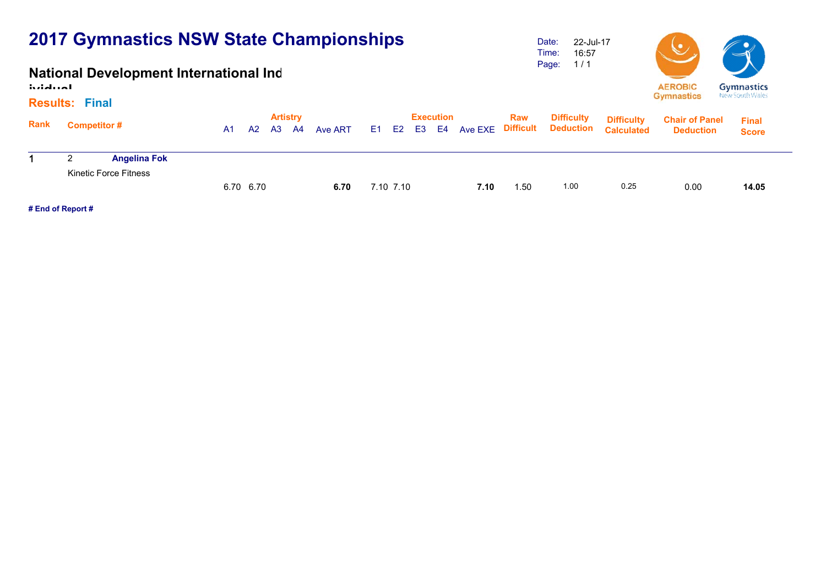### **National Development International Ind**

**ividual**

#### **Results:Final**

|      | Results: Final     |                              |    |                 |           |      |         |  |           |  |                  |      |      |                                         |                   |                       |              |  |  |
|------|--------------------|------------------------------|----|-----------------|-----------|------|---------|--|-----------|--|------------------|------|------|-----------------------------------------|-------------------|-----------------------|--------------|--|--|
| Rank |                    |                              |    | <b>Artistry</b> |           |      |         |  |           |  | <b>Execution</b> |      | Raw  | <b>Difficulty</b>                       | <b>Difficulty</b> | <b>Chair of Panel</b> | <b>Final</b> |  |  |
|      | <b>Competitor#</b> |                              | A1 | A2              | <b>A3</b> | - A4 | Ave ART |  |           |  |                  |      |      | E1 E2 E3 E4 Ave EXE Difficult Deduction | <b>Calculated</b> | <b>Deduction</b>      | <b>Score</b> |  |  |
|      | ◠                  | <b>Angelina Fok</b>          |    |                 |           |      |         |  |           |  |                  |      |      |                                         |                   |                       |              |  |  |
|      |                    | <b>Kinetic Force Fitness</b> |    |                 |           |      |         |  |           |  |                  |      |      |                                         |                   |                       |              |  |  |
|      |                    |                              |    | 6.70 6.70       |           |      | 6.70    |  | 7.10 7.10 |  |                  | 7.10 | 1.50 | 1.00                                    | 0.25              | 0.00                  | 14.05        |  |  |

Date: Time: Page: 1 / 1

22-Jul-17 16:57

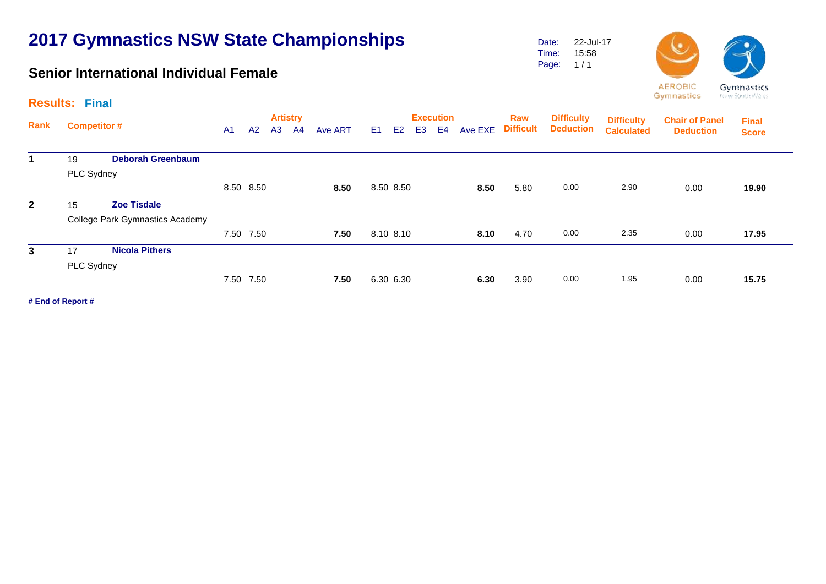### **Senior International Individual Female**

Date: Time: Page: 22-Jul-17 15:58  $1/1$ 



New South Wales

|                | <b>Results: Final</b> |                                 |                                                                |           |  |  |      |  |           |                |                                    |         | the first parties are an original |                                       |                                        |                                           |                              |  |  |  |
|----------------|-----------------------|---------------------------------|----------------------------------------------------------------|-----------|--|--|------|--|-----------|----------------|------------------------------------|---------|-----------------------------------|---------------------------------------|----------------------------------------|-------------------------------------------|------------------------------|--|--|--|
| Rank           | <b>Competitor #</b>   |                                 | <b>Artistry</b><br>A2<br>A3<br>A <sub>1</sub><br>Ave ART<br>A4 |           |  |  |      |  | E1.<br>E2 | E <sub>3</sub> | <b>Execution</b><br>E <sub>4</sub> | Ave EXE | Raw<br><b>Difficult</b>           | <b>Difficulty</b><br><b>Deduction</b> | <b>Difficulty</b><br><b>Calculated</b> | <b>Chair of Panel</b><br><b>Deduction</b> | <b>Final</b><br><b>Score</b> |  |  |  |
| 1              | 19                    | <b>Deborah Greenbaum</b>        |                                                                |           |  |  |      |  |           |                |                                    |         |                                   |                                       |                                        |                                           |                              |  |  |  |
|                | PLC Sydney            |                                 |                                                                |           |  |  |      |  |           |                |                                    |         |                                   |                                       |                                        |                                           |                              |  |  |  |
|                |                       |                                 |                                                                | 8.50 8.50 |  |  | 8.50 |  | 8.50 8.50 |                |                                    | 8.50    | 5.80                              | 0.00                                  | 2.90                                   | 0.00                                      | 19.90                        |  |  |  |
| $\overline{2}$ | 15                    | <b>Zoe Tisdale</b>              |                                                                |           |  |  |      |  |           |                |                                    |         |                                   |                                       |                                        |                                           |                              |  |  |  |
|                |                       | College Park Gymnastics Academy |                                                                |           |  |  |      |  |           |                |                                    |         |                                   |                                       |                                        |                                           |                              |  |  |  |
|                |                       |                                 |                                                                | 7.50 7.50 |  |  | 7.50 |  | 8.10 8.10 |                |                                    | 8.10    | 4.70                              | 0.00                                  | 2.35                                   | 0.00                                      | 17.95                        |  |  |  |
| 3              | 17                    | <b>Nicola Pithers</b>           |                                                                |           |  |  |      |  |           |                |                                    |         |                                   |                                       |                                        |                                           |                              |  |  |  |
|                | PLC Sydney            |                                 |                                                                |           |  |  |      |  |           |                |                                    |         |                                   |                                       |                                        |                                           |                              |  |  |  |
|                |                       |                                 |                                                                | 7.50 7.50 |  |  | 7.50 |  | 6.30 6.30 |                |                                    | 6.30    | 3.90                              | 0.00                                  | 1.95                                   | 0.00                                      | 15.75                        |  |  |  |
|                |                       |                                 |                                                                |           |  |  |      |  |           |                |                                    |         |                                   |                                       |                                        |                                           |                              |  |  |  |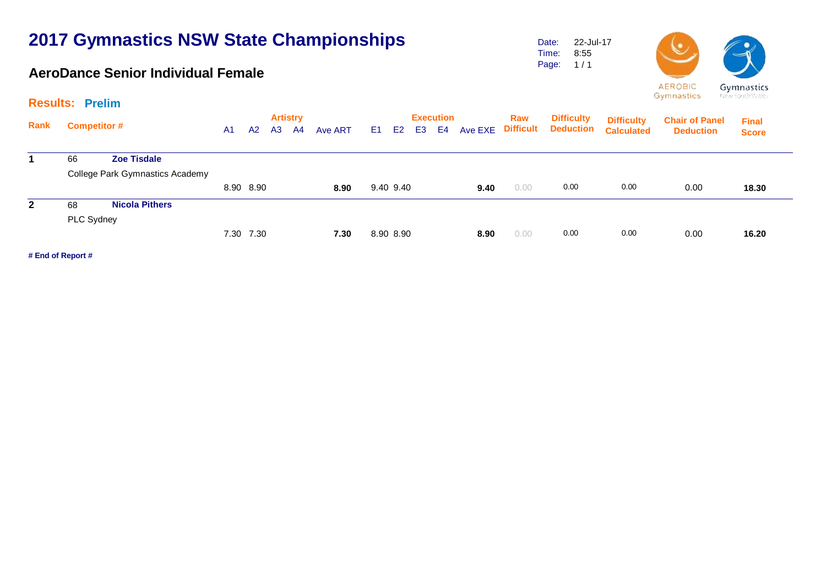### **AeroDance Senior Individual Female**

Date: Time: Page: 22-Jul-17 8:55  $1/1$ 



G, -Ne

Gymnastics

|  |  | ymnastics      |
|--|--|----------------|
|  |  | aw South Wales |

|              | <b>Results: Prelim</b> |                                 |                                                    |           |                                  |  |                                                                  |  |           |         |                         |                                       |                                        |                                           |                              | the first parties are able to |       |
|--------------|------------------------|---------------------------------|----------------------------------------------------|-----------|----------------------------------|--|------------------------------------------------------------------|--|-----------|---------|-------------------------|---------------------------------------|----------------------------------------|-------------------------------------------|------------------------------|-------------------------------|-------|
| Rank         | <b>Competitor #</b>    |                                 | A <sub>3</sub><br>A <sub>1</sub><br>A <sub>2</sub> |           | <b>Artistry</b><br>Ave ART<br>A4 |  | <b>Execution</b><br>E4<br>E1<br>E <sub>2</sub><br>E <sub>3</sub> |  |           | Ave EXE | Raw<br><b>Difficult</b> | <b>Difficulty</b><br><b>Deduction</b> | <b>Difficulty</b><br><b>Calculated</b> | <b>Chair of Panel</b><br><b>Deduction</b> | <b>Final</b><br><b>Score</b> |                               |       |
|              | 66                     | <b>Zoe Tisdale</b>              |                                                    |           |                                  |  |                                                                  |  |           |         |                         |                                       |                                        |                                           |                              |                               |       |
|              |                        | College Park Gymnastics Academy |                                                    |           |                                  |  |                                                                  |  |           |         |                         |                                       |                                        |                                           |                              |                               |       |
|              |                        |                                 |                                                    | 8.90 8.90 |                                  |  | 8.90                                                             |  | 9.40 9.40 |         |                         | 9.40                                  | 0.00                                   | 0.00                                      | 0.00                         | 0.00                          | 18.30 |
| $\mathbf{2}$ | 68                     | <b>Nicola Pithers</b>           |                                                    |           |                                  |  |                                                                  |  |           |         |                         |                                       |                                        |                                           |                              |                               |       |
|              | PLC Sydney             |                                 |                                                    |           |                                  |  |                                                                  |  |           |         |                         |                                       |                                        |                                           |                              |                               |       |
|              |                        |                                 |                                                    | 7.30 7.30 |                                  |  | 7.30                                                             |  | 8.90 8.90 |         |                         | 8.90                                  | 0.00                                   | 0.00                                      | 0.00                         | 0.00                          | 16.20 |
|              |                        |                                 |                                                    |           |                                  |  |                                                                  |  |           |         |                         |                                       |                                        |                                           |                              |                               |       |